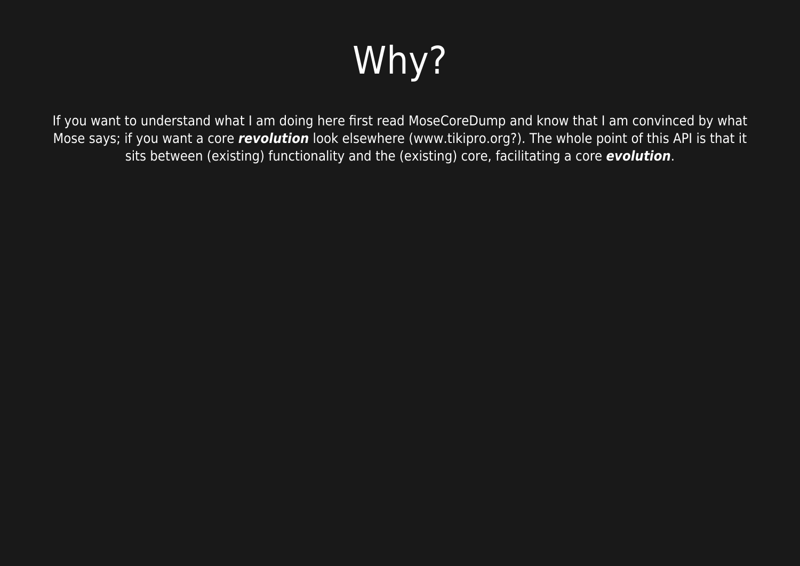## Why?

If you want to understand what I am doing here first read MoseCoreDump and know that I am convinced by what Mose says; if you want a core *revolution* look elsewhere (www.tikipro.org?). The whole point of this API is that it sits between (existing) functionality and the (existing) core, facilitating a core *evolution*.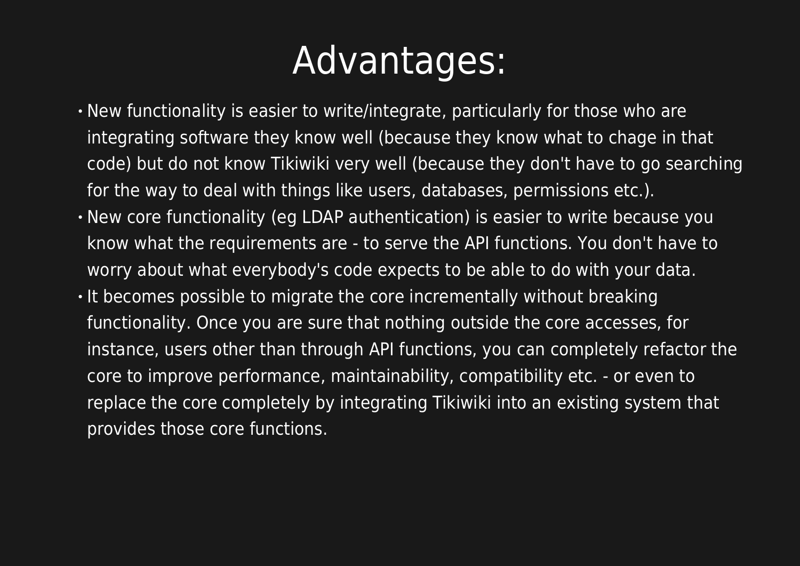#### Advantages:

- New functionality is easier to write/integrate, particularly for those who are integrating software they know well (because they know what to chage in that code) but do not know Tikiwiki very well (because they don't have to go searching for the way to deal with things like users, databases, permissions etc.).
- New core functionality (eg LDAP authentication) is easier to write because you know what the requirements are - to serve the API functions. You don't have to worry about what everybody's code expects to be able to do with your data.
- $\cdot$  It becomes possible to migrate the core incrementally without breaking functionality. Once you are sure that nothing outside the core accesses, for instance, users other than through API functions, you can completely refactor the core to improve performance, maintainability, compatibility etc. - or even to replace the core completely by integrating Tikiwiki into an existing system that provides those core functions.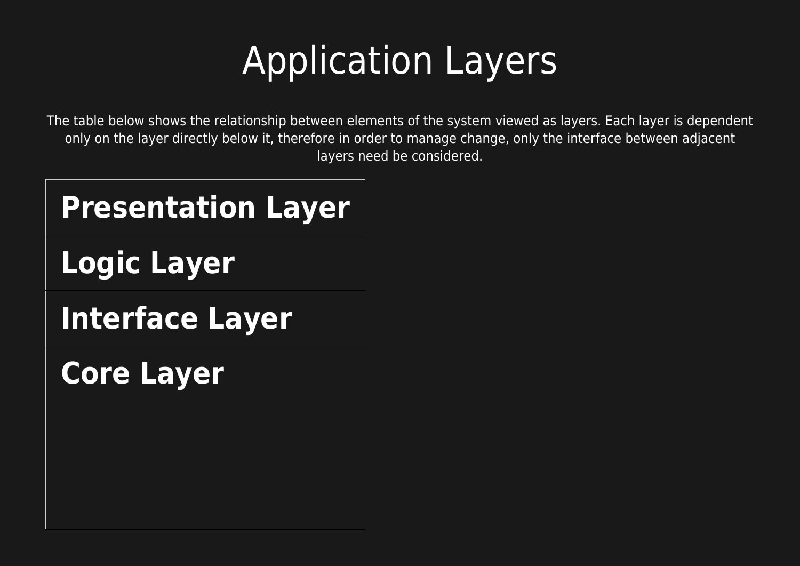## Application Layers

The table below shows the relationship between elements of the system viewed as layers. Each layer is dependent only on the layer directly below it, therefore in order to manage change, only the interface between adjacent layers need be considered.

## **Presentation Layer Logic Layer Interface Layer Core Layer**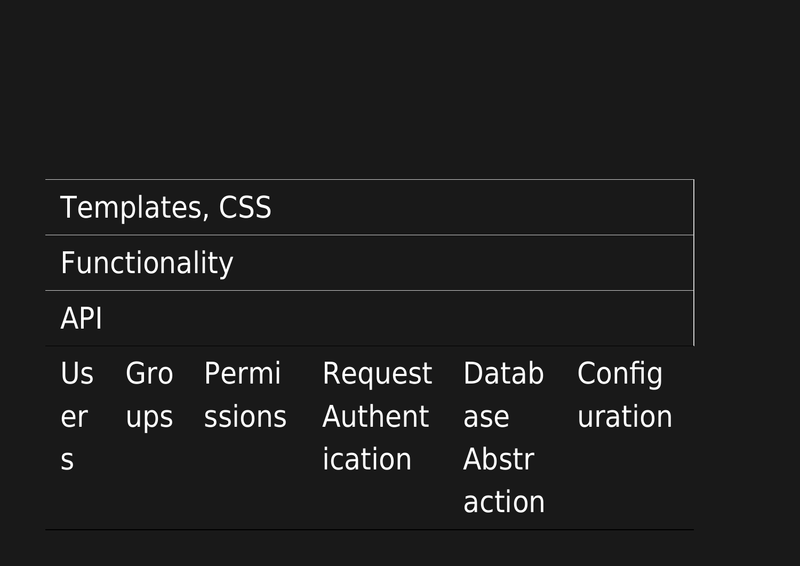| <b>Templates, CSS</b> |  |           |                                                |                        |                   |
|-----------------------|--|-----------|------------------------------------------------|------------------------|-------------------|
| Functionality         |  |           |                                                |                        |                   |
| <b>API</b>            |  |           |                                                |                        |                   |
| Us<br>er<br>S         |  | Gro Permi | Request Datab<br>ups ssions Authent<br>ication | ase<br>Abstr<br>action | Config<br>uration |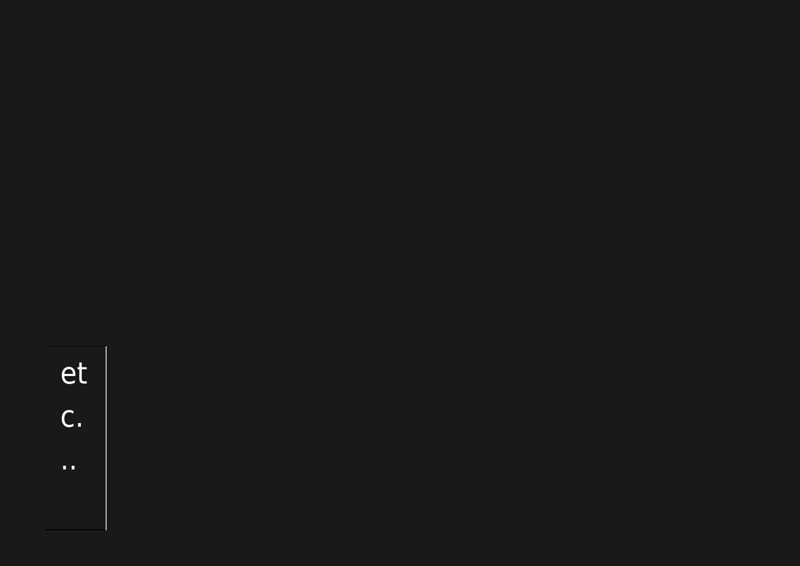# et<br>c.

 $\mathbf{u}$  is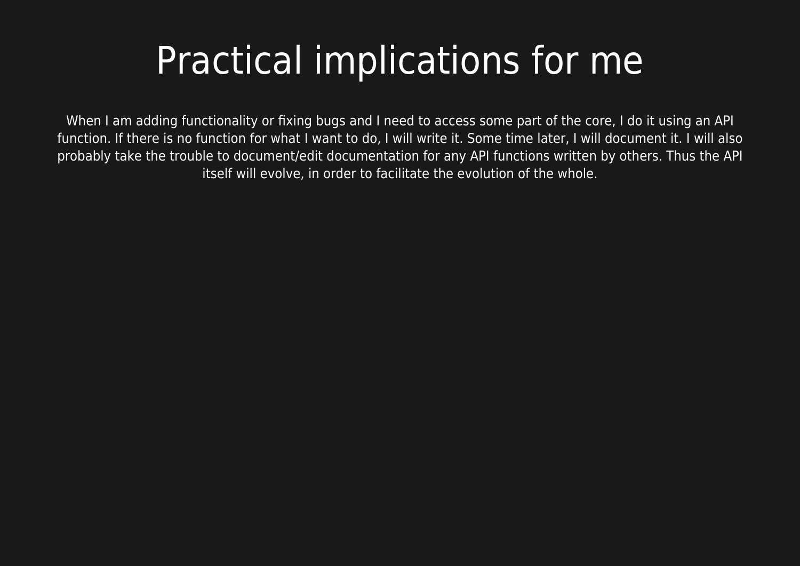## Practical implications for me

When I am adding functionality or fixing bugs and I need to access some part of the core, I do it using an API function. If there is no function for what I want to do, I will write it. Some time later, I will document it. I will also probably take the trouble to document/edit documentation for any API functions written by others. Thus the API itself will evolve, in order to facilitate the evolution of the whole.